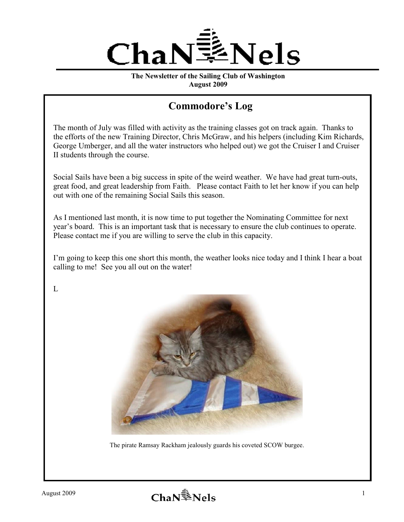

**The Newsletter of the Sailing Club of Washington August 2009**

## **Commodore's Log**

The month of July was filled with activity as the training classes got on track again. Thanks to the efforts of the new Training Director, Chris McGraw, and his helpers (including Kim Richards, George Umberger, and all the water instructors who helped out) we got the Cruiser I and Cruiser II students through the course.

Social Sails have been a big success in spite of the weird weather. We have had great turn-outs, great food, and great leadership from Faith. Please contact Faith to let her know if you can help out with one of the remaining Social Sails this season.

As I mentioned last month, it is now time to put together the Nominating Committee for next year's board. This is an important task that is necessary to ensure the club continues to operate. Please contact me if you are willing to serve the club in this capacity.

I'm going to keep this one short this month, the weather looks nice today and I think I hear a boat calling to me! See you all out on the water!

 $L$ 



The pirate Ramsay Rackham jealously guards his coveted SCOW burgee.

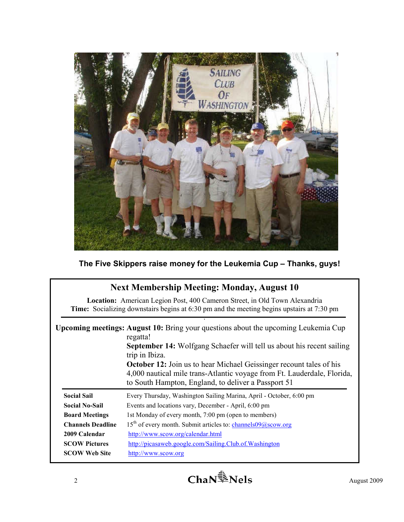

**The Five Skippers raise money for the Leukemia Cup – Thanks, guys!** 

| <b>Next Membership Meeting: Monday, August 10</b>                                                                                                                              |                                                                                                                                                                                                                                                                                                                                                                                                                         |  |  |  |
|--------------------------------------------------------------------------------------------------------------------------------------------------------------------------------|-------------------------------------------------------------------------------------------------------------------------------------------------------------------------------------------------------------------------------------------------------------------------------------------------------------------------------------------------------------------------------------------------------------------------|--|--|--|
| <b>Location:</b> American Legion Post, 400 Cameron Street, in Old Town Alexandria<br>Time: Socializing downstairs begins at 6:30 pm and the meeting begins upstairs at 7:30 pm |                                                                                                                                                                                                                                                                                                                                                                                                                         |  |  |  |
|                                                                                                                                                                                | <b>Upcoming meetings: August 10:</b> Bring your questions about the upcoming Leukemia Cup<br>regatta!<br><b>September 14:</b> Wolfgang Schaefer will tell us about his recent sailing<br>trip in Ibiza.<br><b>October 12:</b> Join us to hear Michael Geissinger recount tales of his<br>4,000 nautical mile trans-Atlantic voyage from Ft. Lauderdale, Florida,<br>to South Hampton, England, to deliver a Passport 51 |  |  |  |
| <b>Social Sail</b>                                                                                                                                                             | Every Thursday, Washington Sailing Marina, April - October, 6:00 pm                                                                                                                                                                                                                                                                                                                                                     |  |  |  |
| <b>Social No-Sail</b>                                                                                                                                                          | Events and locations vary, December - April, 6:00 pm                                                                                                                                                                                                                                                                                                                                                                    |  |  |  |
| <b>Board Meetings</b>                                                                                                                                                          | 1st Monday of every month, 7:00 pm (open to members)                                                                                                                                                                                                                                                                                                                                                                    |  |  |  |
| <b>Channels Deadline</b>                                                                                                                                                       | 15 <sup>th</sup> of every month. Submit articles to: channels09@scow.org                                                                                                                                                                                                                                                                                                                                                |  |  |  |
| 2009 Calendar                                                                                                                                                                  | http://www.scow.org/calendar.html                                                                                                                                                                                                                                                                                                                                                                                       |  |  |  |
| <b>SCOW Pictures</b>                                                                                                                                                           | http://picasaweb.google.com/Sailing.Club.of.Washington                                                                                                                                                                                                                                                                                                                                                                  |  |  |  |
| <b>SCOW Web Site</b>                                                                                                                                                           | http://www.scow.org                                                                                                                                                                                                                                                                                                                                                                                                     |  |  |  |

2 **Cha** $N^{\frac{2}{3}}$  **Nels** August 2009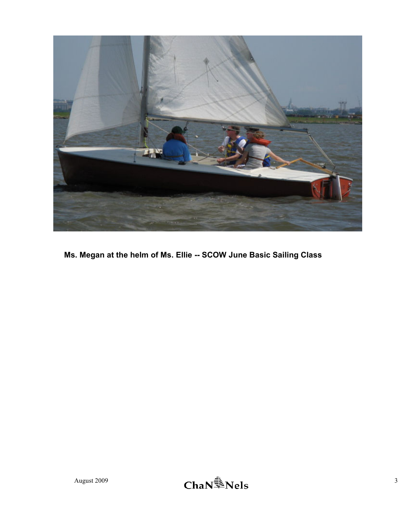

**Ms. Megan at the helm of Ms. Ellie -- SCOW June Basic Sailing Class** 

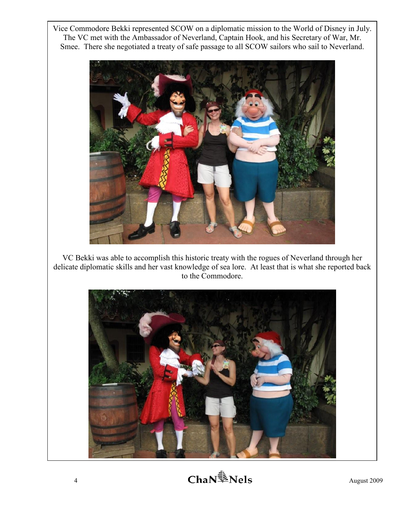Vice Commodore Bekki represented SCOW on a diplomatic mission to the World of Disney in July. The VC met with the Ambassador of Neverland, Captain Hook, and his Secretary of War, Mr. Smee. There she negotiated a treaty of safe passage to all SCOW sailors who sail to Neverland.



VC Bekki was able to accomplish this historic treaty with the rogues of Neverland through her delicate diplomatic skills and her vast knowledge of sea lore. At least that is what she reported back to the Commodore.